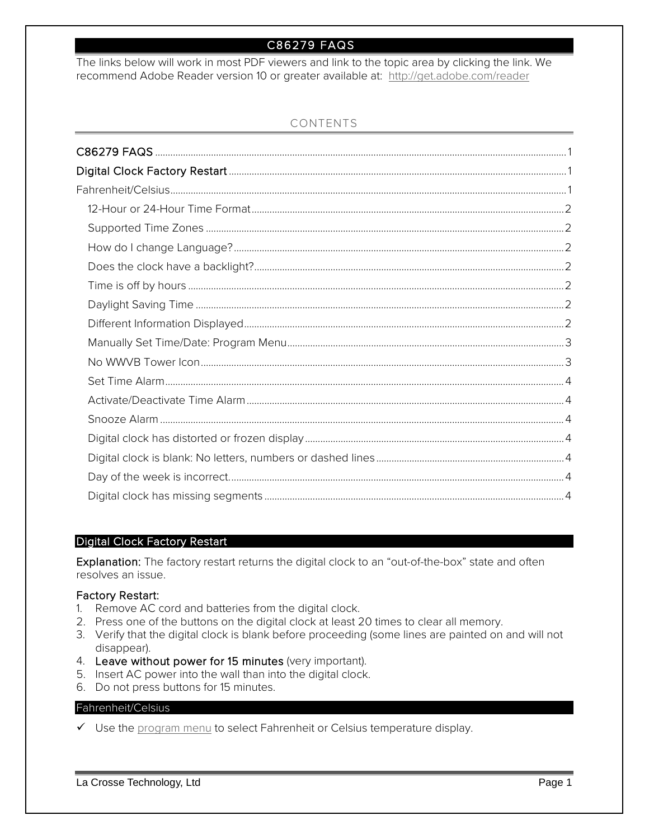# C86279 FAQS

<span id="page-0-0"></span>The links below will work in most PDF viewers and link to the topic area by clicking the link. We recommend Adobe Reader version 10 or greater available at: <http://get.adobe.com/reader>

# CONTENTS

# <span id="page-0-1"></span>Digital Clock Factory Restart

Explanation: The factory restart returns the digital clock to an "out-of-the-box" state and often resolves an issue.

### Factory Restart:

- 1. Remove AC cord and batteries from the digital clock.
- 2. Press one of the buttons on the digital clock at least 20 times to clear all memory.
- 3. Verify that the digital clock is blank before proceeding (some lines are painted on and will not disappear).
- 4. Leave without power for 15 minutes (very important).
- 5. Insert AC power into the wall than into the digital clock.
- 6. Do not press buttons for 15 minutes.

## <span id="page-0-2"></span>Fahrenheit/Celsius

 $\checkmark$  Use the [program menu](#page-2-0) to select Fahrenheit or Celsius temperature display.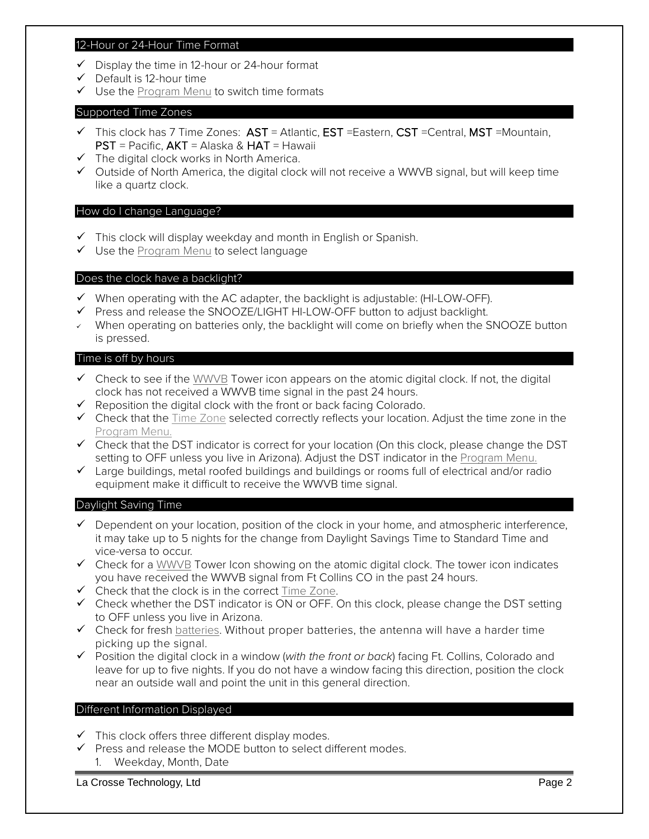#### <span id="page-1-0"></span>12-Hour or 24-Hour Time Format

- $\checkmark$  Display the time in 12-hour or 24-hour format
- $\checkmark$  Default is 12-hour time
- $\checkmark$  Use the [Program Menu](#page-2-0) to switch time formats

### <span id="page-1-1"></span>Supported Time Zones

- $\checkmark$  This clock has 7 Time Zones:  $AST$  = Atlantic, EST = Eastern, CST = Central, MST = Mountain, PST = Pacific, AKT = Alaska & HAT = Hawaii
- $\checkmark$  The digital clock works in North America.
- $\checkmark$  Outside of North America, the digital clock will not receive a WWVB signal, but will keep time like a quartz clock.

## <span id="page-1-2"></span>How do I change Language?

- $\checkmark$  This clock will display weekday and month in English or Spanish.
- $\checkmark$  Use the [Program Menu](#page-2-0) to select language

### <span id="page-1-3"></span>Does the clock have a backlight?

- $\checkmark$  When operating with the AC adapter, the backlight is adjustable: (HI-LOW-OFF).
- $\checkmark$  Press and release the SNOOZE/LIGHT HI-LOW-OFF button to adjust backlight.
- When operating on batteries only, the backlight will come on briefly when the SNOOZE button is pressed.

### <span id="page-1-4"></span>Time is off by hours

- $\checkmark$  Check to see if the [WWVB](#page-2-1) Tower icon appears on the atomic digital clock. If not, the digital clock has not received a WWVB time signal in the past 24 hours.
- $\checkmark$  Reposition the digital clock with the front or back facing Colorado.
- $\checkmark$  Check that the [Time Zone](#page-1-0) selected correctly reflects your location. Adjust the time zone in the [Program Menu.](#page-2-0)
- Check that the DST indicator is correct for your location (On this clock, please change the DST setting to OFF unless you live in Arizona). Adjust the DST indicator in the [Program Menu.](#page-2-0)
- $\checkmark$  Large buildings, metal roofed buildings and buildings or rooms full of electrical and/or radio equipment make it difficult to receive the WWVB time signal.

### <span id="page-1-5"></span>Daylight Saving Time

- $\checkmark$  Dependent on your location, position of the clock in your home, and atmospheric interference, it may take up to 5 nights for the change from Daylight Savings Time to Standard Time and vice-versa to occur.
- Check for a [WWVB](#page-2-1) Tower Icon showing on the atomic digital clock. The tower icon indicates you have received the WWVB signal from Ft Collins CO in the past 24 hours.
- $\checkmark$  Check that the clock is in the correct  $Time\ Zone$ .
- $\checkmark$  Check whether the DST indicator is ON or OFF. On this clock, please change the DST setting to OFF unless you live in Arizona.
- $\checkmark$  Check for fresh batteries. Without proper batteries, the antenna will have a harder time picking up the signal.
- Position the digital clock in a window (*with the front or back*) facing Ft. Collins, Colorado and leave for up to five nights. If you do not have a window facing this direction, position the clock near an outside wall and point the unit in this general direction.

# <span id="page-1-6"></span>Different Information Displayed

- $\checkmark$  This clock offers three different display modes.
- $\checkmark$  Press and release the MODE button to select different modes.
	- 1. Weekday, Month, Date

La Crosse Technology, Ltd Page 2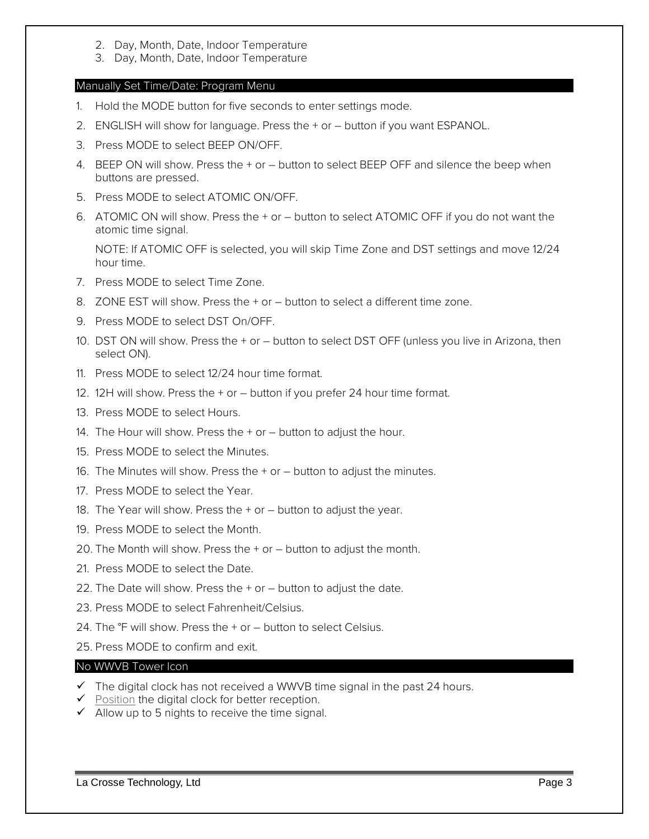- 2. Day, Month, Date, Indoor Temperature
- 3. Day, Month, Date, Indoor Temperature

# <span id="page-2-0"></span>Manually Set Time/Date: Program Menu

- 1. Hold the MODE button for five seconds to enter settings mode.
- 2. ENGLISH will show for language. Press the + or button if you want ESPANOL.
- 3. Press MODE to select BEEP ON/OFF.
- 4. BEEP ON will show. Press the + or button to select BEEP OFF and silence the beep when buttons are pressed.
- 5. Press MODE to select ATOMIC ON/OFF.
- 6. ATOMIC ON will show. Press the + or button to select ATOMIC OFF if you do not want the atomic time signal.

NOTE: If ATOMIC OFF is selected, you will skip Time Zone and DST settings and move 12/24 hour time.

- 7. Press MODE to select Time Zone.
- 8. ZONE EST will show. Press the + or button to select a different time zone.
- 9. Press MODE to select DST On/OFF.
- 10. DST ON will show. Press the + or button to select DST OFF (unless you live in Arizona, then select ON).
- 11. Press MODE to select 12/24 hour time format.
- 12. 12H will show. Press the + or button if you prefer 24 hour time format.
- 13. Press MODE to select Hours.
- 14. The Hour will show. Press the + or button to adjust the hour.
- 15. Press MODE to select the Minutes.
- 16. The Minutes will show. Press the + or button to adjust the minutes.
- 17. Press MODE to select the Year.
- 18. The Year will show. Press the + or button to adjust the year.
- 19. Press MODE to select the Month.
- 20. The Month will show. Press the + or button to adjust the month.
- 21. Press MODE to select the Date.
- 22. The Date will show. Press the + or button to adjust the date.
- 23. Press MODE to select Fahrenheit/Celsius.
- 24. The °F will show. Press the + or button to select Celsius.
- 25. Press MODE to confirm and exit.

# <span id="page-2-1"></span>No WWVB Tower Icon

- $\checkmark$  The digital clock has not received a WWVB time signal in the past 24 hours.
- $\checkmark$  Position the digital clock for better reception.
- $\checkmark$  Allow up to 5 nights to receive the time signal.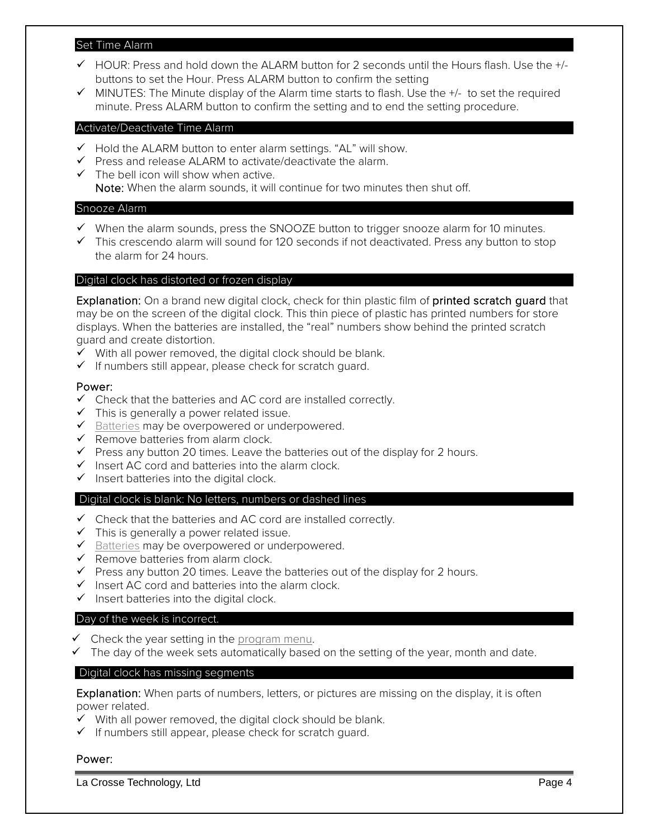### <span id="page-3-0"></span>Set Time Alarm

- $\checkmark$  HOUR: Press and hold down the ALARM button for 2 seconds until the Hours flash. Use the  $+/$ buttons to set the Hour. Press ALARM button to confirm the setting
- $\checkmark$  MINUTES: The Minute display of the Alarm time starts to flash. Use the  $+/-$  to set the required minute. Press ALARM button to confirm the setting and to end the setting procedure.

### <span id="page-3-1"></span>Activate/Deactivate Time Alarm

- $\checkmark$  Hold the ALARM button to enter alarm settings. "AL" will show.
- $\checkmark$  Press and release ALARM to activate/deactivate the alarm.
- $\checkmark$  The bell icon will show when active. Note: When the alarm sounds, it will continue for two minutes then shut off.

## <span id="page-3-2"></span>Snooze Alarm

- $\checkmark$  When the alarm sounds, press the SNOOZE button to trigger snooze alarm for 10 minutes.
- $\checkmark$  This crescendo alarm will sound for 120 seconds if not deactivated. Press any button to stop the alarm for 24 hours.

## <span id="page-3-3"></span>Digital clock has distorted or frozen display

Explanation: On a brand new digital clock, check for thin plastic film of printed scratch guard that may be on the screen of the digital clock. This thin piece of plastic has printed numbers for store displays. When the batteries are installed, the "real" numbers show behind the printed scratch guard and create distortion.

- $\checkmark$  With all power removed, the digital clock should be blank.
- $\checkmark$  If numbers still appear, please check for scratch quard.

### Power:

- $\checkmark$  Check that the batteries and AC cord are installed correctly.
- $\checkmark$  This is generally a power related issue.
- $\checkmark$  Batteries may be overpowered or underpowered.
- $\checkmark$  Remove batteries from alarm clock.
- $\checkmark$  Press any button 20 times. Leave the batteries out of the display for 2 hours.
- $\checkmark$  Insert AC cord and batteries into the alarm clock.
- $\checkmark$  Insert batteries into the digital clock.

### <span id="page-3-4"></span>Digital clock is blank: No letters, numbers or dashed lines

- $\checkmark$  Check that the batteries and AC cord are installed correctly.
- $\checkmark$  This is generally a power related issue.
- $\checkmark$  Batteries may be overpowered or underpowered.
- $\checkmark$  Remove batteries from alarm clock.
- $\checkmark$  Press any button 20 times. Leave the batteries out of the display for 2 hours.
- $\checkmark$  Insert AC cord and batteries into the alarm clock.
- $\checkmark$  Insert batteries into the digital clock.

### <span id="page-3-5"></span>Day of the week is incorrect.

- $\checkmark$  Check the year setting in the program menu.
- $\checkmark$  The day of the week sets automatically based on the setting of the year, month and date.

### <span id="page-3-6"></span>Digital clock has missing segments

Explanation: When parts of numbers, letters, or pictures are missing on the display, it is often power related.

- $\checkmark$  With all power removed, the digital clock should be blank.
- $\checkmark$  If numbers still appear, please check for scratch quard.

## Power:

La Crosse Technology, Ltd Page 4